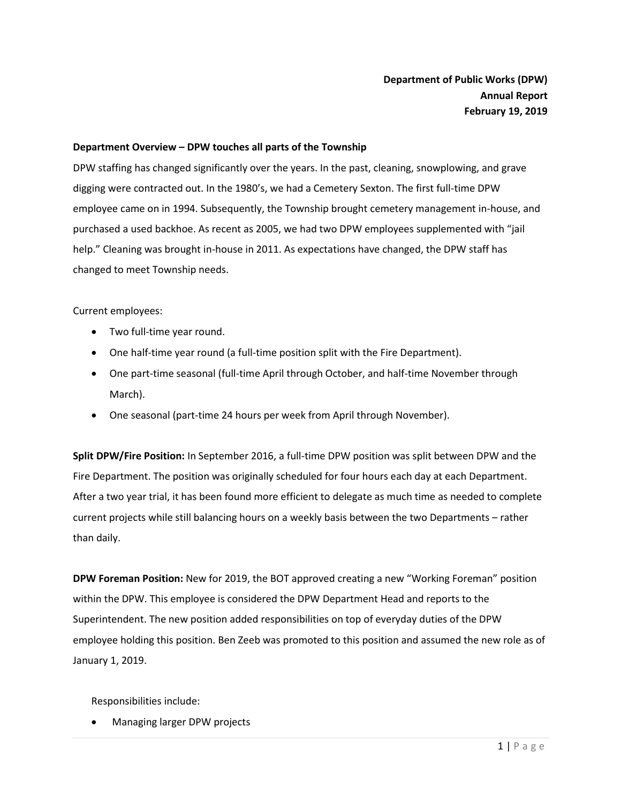#### **Department Overview – DPW touches all parts of the Township**

DPW staffing has changed significantly over the years. In the past, cleaning, snowplowing, and grave digging were contracted out. In the 1980's, we had a Cemetery Sexton. The first full-time DPW employee came on in 1994. Subsequently, the Township brought cemetery management in-house, and purchased a used backhoe. As recent as 2005, we had two DPW employees supplemented with "jail help." Cleaning was brought in-house in 2011. As expectations have changed, the DPW staff has changed to meet Township needs.

Current employees:

- Two full-time year round.
- One half-time year round (a full-time position split with the Fire Department).
- One part-time seasonal (full-time April through October, and half-time November through March).
- One seasonal (part-time 24 hours per week from April through November).

**Split DPW/Fire Position:** In September 2016, a full-time DPW position was split between DPW and the Fire Department. The position was originally scheduled for four hours each day at each Department. After a two year trial, it has been found more efficient to delegate as much time as needed to complete current projects while still balancing hours on a weekly basis between the two Departments – rather than daily.

**DPW Foreman Position:** New for 2019, the BOT approved creating a new "Working Foreman" position within the DPW. This employee is considered the DPW Department Head and reports to the Superintendent. The new position added responsibilities on top of everyday duties of the DPW employee holding this position. Ben Zeeb was promoted to this position and assumed the new role as of January 1, 2019.

Responsibilities include:

Managing larger DPW projects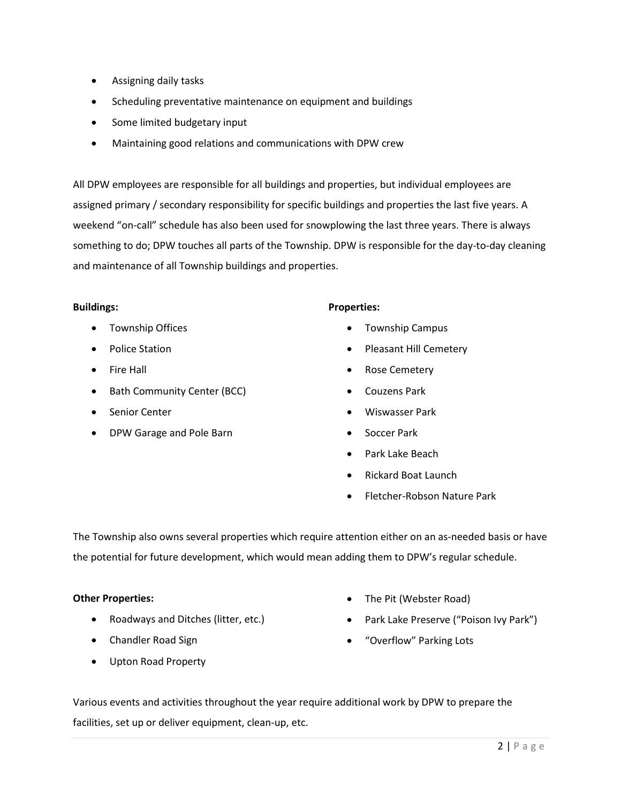- Assigning daily tasks
- Scheduling preventative maintenance on equipment and buildings
- Some limited budgetary input
- Maintaining good relations and communications with DPW crew

All DPW employees are responsible for all buildings and properties, but individual employees are assigned primary / secondary responsibility for specific buildings and properties the last five years. A weekend "on-call" schedule has also been used for snowplowing the last three years. There is always something to do; DPW touches all parts of the Township. DPW is responsible for the day-to-day cleaning and maintenance of all Township buildings and properties.

#### **Buildings:**

- **•** Township Offices
- Police Station
- Fire Hall
- Bath Community Center (BCC)
- Senior Center
- DPW Garage and Pole Barn

# **Properties:**

- Township Campus
- Pleasant Hill Cemetery
- Rose Cemetery
- Couzens Park
- Wiswasser Park
- Soccer Park
- Park Lake Beach
- Rickard Boat Launch
- Fletcher-Robson Nature Park

The Township also owns several properties which require attention either on an as-needed basis or have the potential for future development, which would mean adding them to DPW's regular schedule.

#### **Other Properties:**

- Roadways and Ditches (litter, etc.)
- Chandler Road Sign
- Upton Road Property
- The Pit (Webster Road)
- Park Lake Preserve ("Poison Ivy Park")
- "Overflow" Parking Lots

Various events and activities throughout the year require additional work by DPW to prepare the facilities, set up or deliver equipment, clean-up, etc.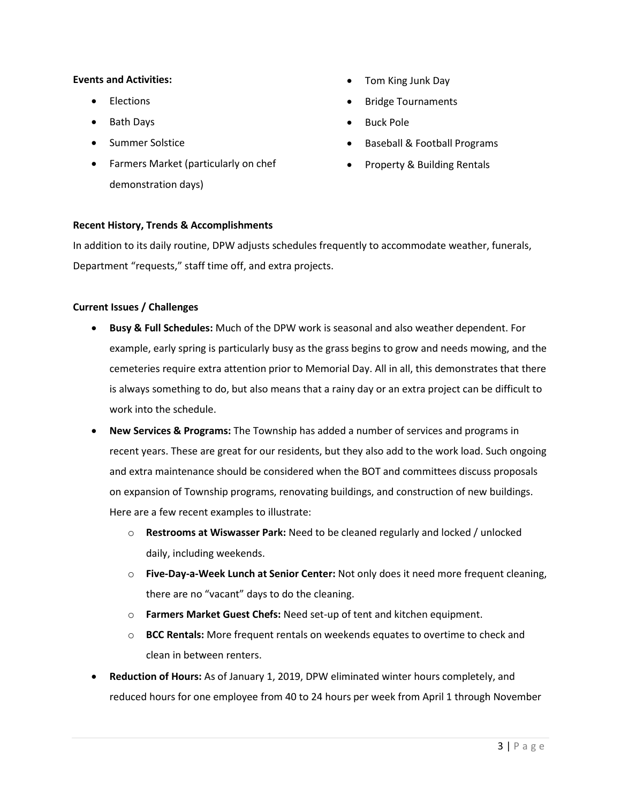### **Events and Activities:**

- Elections
- Bath Days
- Summer Solstice
- Farmers Market (particularly on chef demonstration days)
- Tom King Junk Day
- Bridge Tournaments
- Buck Pole
- Baseball & Football Programs
- Property & Building Rentals

# **Recent History, Trends & Accomplishments**

In addition to its daily routine, DPW adjusts schedules frequently to accommodate weather, funerals, Department "requests," staff time off, and extra projects.

#### **Current Issues / Challenges**

- **Busy & Full Schedules:** Much of the DPW work is seasonal and also weather dependent. For example, early spring is particularly busy as the grass begins to grow and needs mowing, and the cemeteries require extra attention prior to Memorial Day. All in all, this demonstrates that there is always something to do, but also means that a rainy day or an extra project can be difficult to work into the schedule.
- **New Services & Programs:** The Township has added a number of services and programs in recent years. These are great for our residents, but they also add to the work load. Such ongoing and extra maintenance should be considered when the BOT and committees discuss proposals on expansion of Township programs, renovating buildings, and construction of new buildings. Here are a few recent examples to illustrate:
	- o **Restrooms at Wiswasser Park:** Need to be cleaned regularly and locked / unlocked daily, including weekends.
	- o **Five-Day-a-Week Lunch at Senior Center:** Not only does it need more frequent cleaning, there are no "vacant" days to do the cleaning.
	- o **Farmers Market Guest Chefs:** Need set-up of tent and kitchen equipment.
	- o **BCC Rentals:** More frequent rentals on weekends equates to overtime to check and clean in between renters.
- **Reduction of Hours:** As of January 1, 2019, DPW eliminated winter hours completely, and reduced hours for one employee from 40 to 24 hours per week from April 1 through November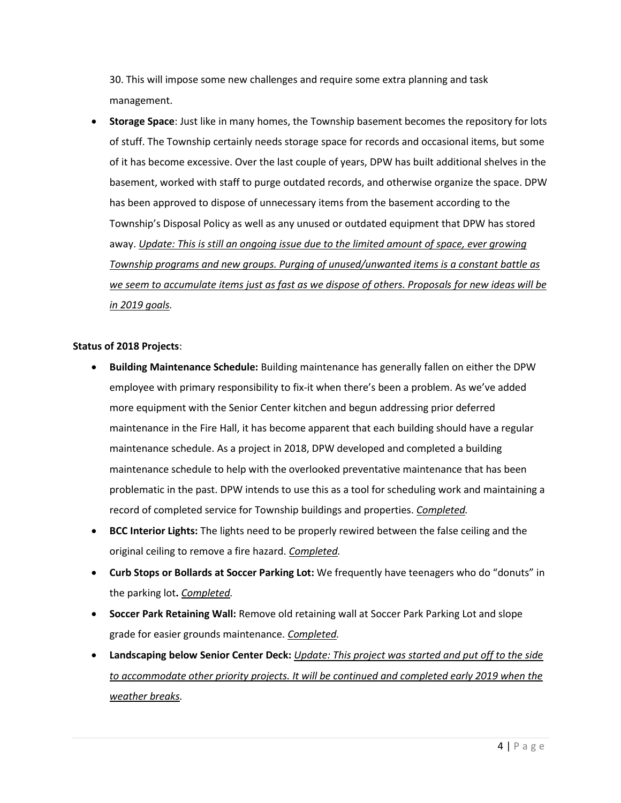30. This will impose some new challenges and require some extra planning and task management.

 **Storage Space**: Just like in many homes, the Township basement becomes the repository for lots of stuff. The Township certainly needs storage space for records and occasional items, but some of it has become excessive. Over the last couple of years, DPW has built additional shelves in the basement, worked with staff to purge outdated records, and otherwise organize the space. DPW has been approved to dispose of unnecessary items from the basement according to the Township's Disposal Policy as well as any unused or outdated equipment that DPW has stored away. *Update: This is still an ongoing issue due to the limited amount of space, ever growing Township programs and new groups. Purging of unused/unwanted items is a constant battle as we seem to accumulate items just as fast as we dispose of others. Proposals for new ideas will be in 2019 goals.*

# **Status of 2018 Projects**:

- **Building Maintenance Schedule:** Building maintenance has generally fallen on either the DPW employee with primary responsibility to fix-it when there's been a problem. As we've added more equipment with the Senior Center kitchen and begun addressing prior deferred maintenance in the Fire Hall, it has become apparent that each building should have a regular maintenance schedule. As a project in 2018, DPW developed and completed a building maintenance schedule to help with the overlooked preventative maintenance that has been problematic in the past. DPW intends to use this as a tool for scheduling work and maintaining a record of completed service for Township buildings and properties. *Completed.*
- **BCC Interior Lights:** The lights need to be properly rewired between the false ceiling and the original ceiling to remove a fire hazard. *Completed.*
- **Curb Stops or Bollards at Soccer Parking Lot:** We frequently have teenagers who do "donuts" in the parking lot**.** *Completed.*
- **Soccer Park Retaining Wall:** Remove old retaining wall at Soccer Park Parking Lot and slope grade for easier grounds maintenance. *Completed.*
- **Landscaping below Senior Center Deck:** *Update: This project was started and put off to the side*  to accommodate other priority projects. It will be continued and completed early 2019 when the *weather breaks.*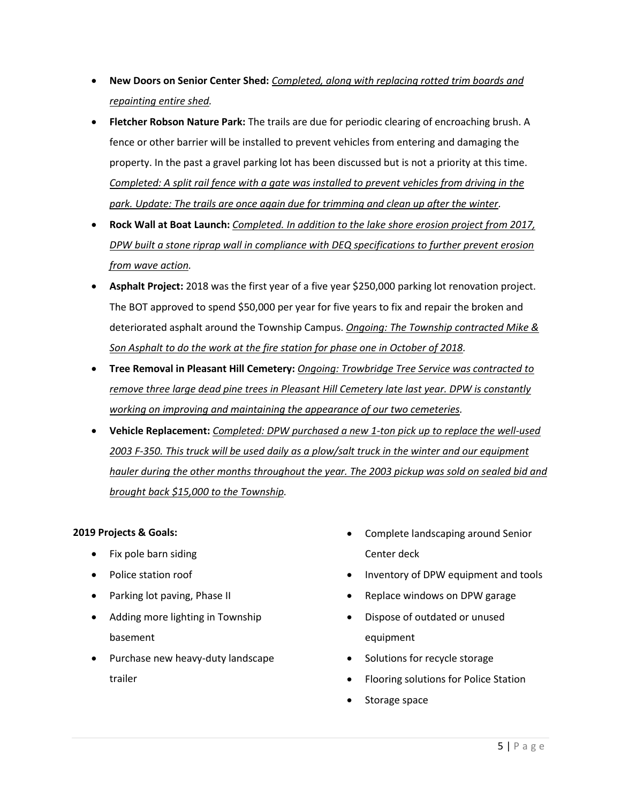- **New Doors on Senior Center Shed:** *Completed, along with replacing rotted trim boards and repainting entire shed.*
- **Fletcher Robson Nature Park:** The trails are due for periodic clearing of encroaching brush. A fence or other barrier will be installed to prevent vehicles from entering and damaging the property. In the past a gravel parking lot has been discussed but is not a priority at this time. *Completed: A split rail fence with a gate was installed to prevent vehicles from driving in the park. Update: The trails are once again due for trimming and clean up after the winter.*
- **Rock Wall at Boat Launch:** *Completed. In addition to the lake shore erosion project from 2017, DPW built a stone riprap wall in compliance with DEQ specifications to further prevent erosion from wave action.*
- **Asphalt Project:** 2018 was the first year of a five year \$250,000 parking lot renovation project. The BOT approved to spend \$50,000 per year for five years to fix and repair the broken and deteriorated asphalt around the Township Campus. *Ongoing: The Township contracted Mike & Son Asphalt to do the work at the fire station for phase one in October of 2018.*
- **Tree Removal in Pleasant Hill Cemetery:** *Ongoing: Trowbridge Tree Service was contracted to remove three large dead pine trees in Pleasant Hill Cemetery late last year. DPW is constantly working on improving and maintaining the appearance of our two cemeteries.*
- **Vehicle Replacement:** *Completed: DPW purchased a new 1-ton pick up to replace the well-used 2003 F-350. This truck will be used daily as a plow/salt truck in the winter and our equipment hauler during the other months throughout the year. The 2003 pickup was sold on sealed bid and brought back \$15,000 to the Township.*

# **2019 Projects & Goals:**

- $\bullet$  Fix pole barn siding
- Police station roof
- Parking lot paving, Phase II
- Adding more lighting in Township basement
- Purchase new heavy-duty landscape trailer
- Complete landscaping around Senior Center deck
- Inventory of DPW equipment and tools
- Replace windows on DPW garage
- Dispose of outdated or unused equipment
- Solutions for recycle storage
- Flooring solutions for Police Station
- Storage space